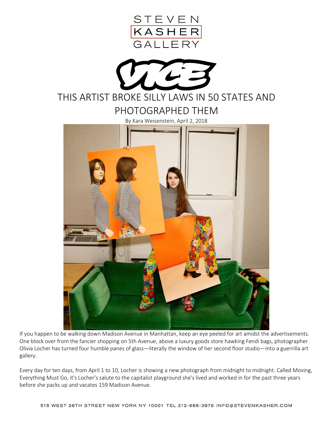



By Kara Weisenstein, April 2, 2018



If you happen to be walking down Madison Avenue in Manhattan, keep an eye peeled for art amidst the advertisements. One block over from the fancier shopping on 5th Avenue, above a luxury goods store hawking Fendi bags, photographer Olivia Locher has turned four humble panes of glass—literally the window of her second floor studio—into a guerrilla art gallery.

Every day for ten days, from April 1 to 10, Locher is showing a new photograph from midnight to midnight. Called Moving, Everything Must Go, it's Locher's salute to the capitalist playground she's lived and worked in for the past three years before she packs up and vacates 159 Madison Avenue.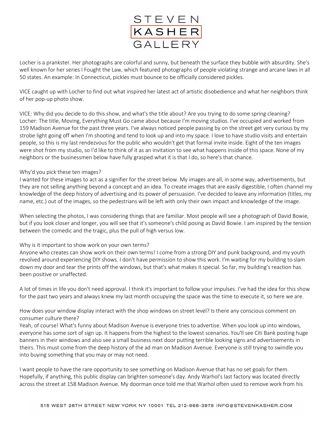

Locher is a prankster. Her photographs are colorful and sunny, but beneath the surface they bubble with absurdity. She's well known for her series I Fought the Law, which featured photographs of people violating strange and arcane laws in all 50 states. An example: In Connecticut, pickles must bounce to be officially considered pickles.

VICE caught up with Locher to find out what inspired her latest act of artistic disobedience and what her neighbors think of her pop-up photo show.

VICE: Why did you decide to do this show, and what's the title about? Are you trying to do some spring cleaning? Locher: The title, Moving, Everything Must Go came about because I'm moving studios. I've occupied and worked from 159 Madison Avenue for the past three years. I've always noticed people passing by on the street get very curious by my strobe light going off when I'm shooting and tend to look up and into my space. I love to have studio visits and entertain people, so this is my last rendezvous for the public who wouldn't get that formal invite inside. Eight of the ten images were shot from my studio, so I'd like to think of it as an invitation to see what happens inside of this space. None of my neighbors or the businessmen below have fully grasped what it is that I do, so here's that chance.

## Why'd you pick these ten images?

I wanted for these images to act as a signifier for the street below. My images are all, in some way, advertisements, but they are not selling anything beyond a concept and an idea. To create images that are easily digestible, I often channel my knowledge of the deep history of advertising and its power of persuasion. I've decided to leave any information (titles, my name, etc.) out of the images, so the pedestrians will be left with only their own impact and knowledge of the image.

When selecting the photos, I was considering things that are familiar. Most people will see a photograph of David Bowie, but if you look closer and longer, you will see that it's someone's child posing as David Bowie. I am inspired by the tension between the comedic and the tragic, plus the pull of high versus low.

## Why is it important to show work on your own terms?

Anyone who creates can show work on their own terms! I come from a strong DIY and punk background, and my youth revolved around experiencing DIY shows. I don't have permission to show this work. I'm waiting for my building to slam down my door and tear the prints off the windows, but that's what makes it special. So far, my building's reaction has been positive or unaffected.

A lot of times in life you don't need approval. I think it's important to follow your impulses. I've had the idea for this show for the past two years and always knew my last month occupying the space was the time to execute it, so here we are.

How does your window display interact with the shop windows on street level? Is there any conscious comment on consumer culture there?

Yeah, of course! What's funny about Madison Avenue is everyone tries to advertise. When you look up into windows, everyone has some sort of sign up. It happens from the highest to the lowest scenarios. You'll see Citi Bank posting huge banners in their windows and also see a small business next door putting terrible looking signs and advertisements in theirs. This must come from the deep history of the ad man on Madison Avenue. Everyone is still trying to swindle you into buying something that you may or may not need.

I want people to have the rare opportunity to see something on Madison Avenue that has no set goals for them. Hopefully, if anything, this public display can brighten someone's day. Andy Warhol's last factory was located directly across the street at 158 Madison Avenue. My doorman once told me that Warhol often used to remove work from his